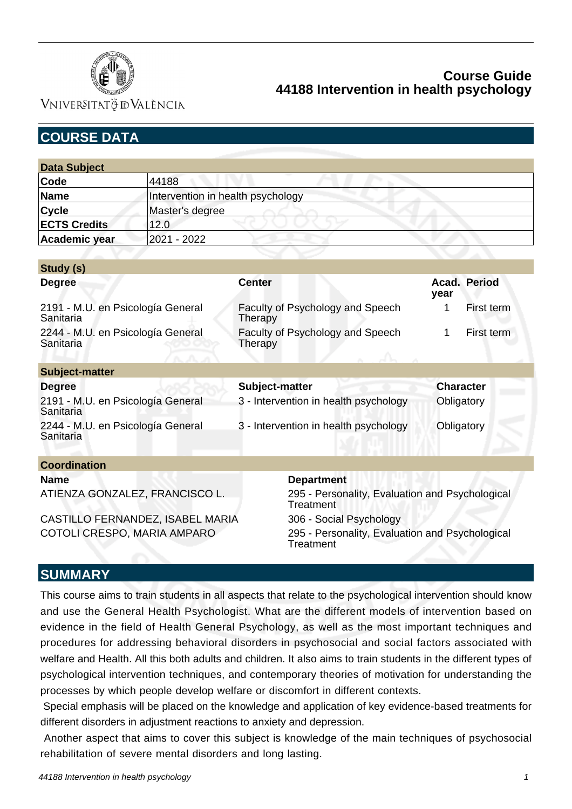

**VNIVERSITATÖ IDVALÈNCIA** 

# **COURSE DATA**

| <b>Data Subject</b> |                                   |  |  |  |
|---------------------|-----------------------------------|--|--|--|
| Code                | 44188                             |  |  |  |
| Name                | Intervention in health psychology |  |  |  |
| <b>Cycle</b>        | Master's degree                   |  |  |  |
| <b>ECTS Credits</b> | 12.0                              |  |  |  |
| Academic year       | 2021 - 2022                       |  |  |  |

| Study (s)                                      |                                             |                  |              |
|------------------------------------------------|---------------------------------------------|------------------|--------------|
| <b>Degree</b>                                  | <b>Center</b>                               | year             | Acad. Period |
| 2191 - M.U. en Psicología General<br>Sanitaria | Faculty of Psychology and Speech<br>Therapy |                  | First term   |
| 2244 - M.U. en Psicología General<br>Sanitaria | Faculty of Psychology and Speech<br>Therapy |                  | First term   |
| <b>Subject-matter</b>                          |                                             |                  |              |
| <b>Degree</b>                                  | Subject-matter                              | <b>Character</b> |              |
| 2191 - M.U. en Psicología General<br>Sanitaria | 3 - Intervention in health psychology       | Obligatory       |              |
| 2244 - M.U. en Psicología General<br>Sanitaria | 3 - Intervention in health psychology       | Obligatory       |              |
| <b>Coordination</b>                            |                                             |                  |              |
| <b>Name</b>                                    | <b>Department</b>                           |                  |              |

CASTILLO FERNANDEZ, ISABEL MARIA 306 - Social Psychology

ATIENZA GONZALEZ, FRANCISCO L. 295 - Personality, Evaluation and Psychological **Treatment** COTOLI CRESPO, MARIA AMPARO 295 - Personality, Evaluation and Psychological **Treatment** 

### **SUMMARY**

This course aims to train students in all aspects that relate to the psychological intervention should know and use the General Health Psychologist. What are the different models of intervention based on evidence in the field of Health General Psychology, as well as the most important techniques and procedures for addressing behavioral disorders in psychosocial and social factors associated with welfare and Health. All this both adults and children. It also aims to train students in the different types of psychological intervention techniques, and contemporary theories of motivation for understanding the processes by which people develop welfare or discomfort in different contexts.

 Special emphasis will be placed on the knowledge and application of key evidence-based treatments for different disorders in adjustment reactions to anxiety and depression.

 Another aspect that aims to cover this subject is knowledge of the main techniques of psychosocial rehabilitation of severe mental disorders and long lasting.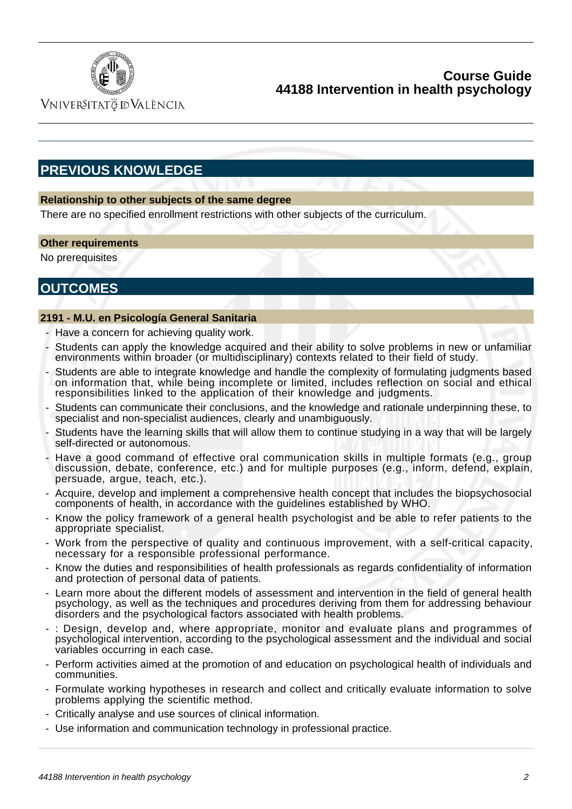

VNIVERSITATÖ ID VALÈNCIA

# **PREVIOUS KNOWLEDGE**

### **Relationship to other subjects of the same degree**

There are no specified enrollment restrictions with other subjects of the curriculum.

### **Other requirements**

No prerequisites

# **OUTCOMES**

### **2191 - M.U. en Psicología General Sanitaria**

- Have a concern for achieving quality work.
- Students can apply the knowledge acquired and their ability to solve problems in new or unfamiliar environments within broader (or multidisciplinary) contexts related to their field of study.
- Students are able to integrate knowledge and handle the complexity of formulating judgments based on information that, while being incomplete or limited, includes reflection on social and ethical responsibilities linked to the application of their knowledge and judgments.
- Students can communicate their conclusions, and the knowledge and rationale underpinning these, to specialist and non-specialist audiences, clearly and unambiguously.
- Students have the learning skills that will allow them to continue studying in a way that will be largely self-directed or autonomous.
- Have a good command of effective oral communication skills in multiple formats (e.g., group discussion, debate, conference, etc.) and for multiple purposes (e.g., inform, defend, explain, persuade, argue, teach, etc.).
- Acquire, develop and implement a comprehensive health concept that includes the biopsychosocial components of health, in accordance with the guidelines established by WHO.
- Know the policy framework of a general health psychologist and be able to refer patients to the appropriate specialist.
- Work from the perspective of quality and continuous improvement, with a self-critical capacity, necessary for a responsible professional performance.
- Know the duties and responsibilities of health professionals as regards confidentiality of information and protection of personal data of patients.
- Learn more about the different models of assessment and intervention in the field of general health psychology, as well as the techniques and procedures deriving from them for addressing behaviour disorders and the psychological factors associated with health problems.
- : Design, develop and, where appropriate, monitor and evaluate plans and programmes of psychological intervention, according to the psychological assessment and the individual and social variables occurring in each case.
- Perform activities aimed at the promotion of and education on psychological health of individuals and communities.
- Formulate working hypotheses in research and collect and critically evaluate information to solve problems applying the scientific method.
- Critically analyse and use sources of clinical information.
- Use information and communication technology in professional practice.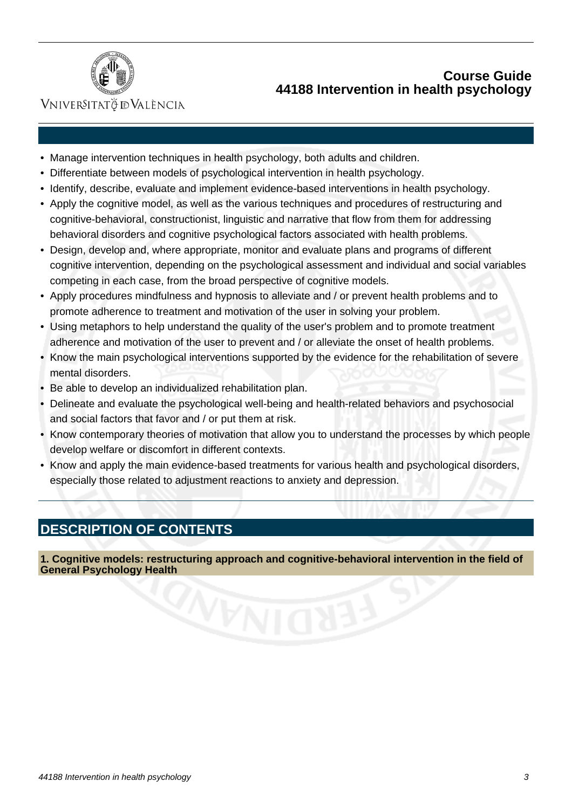

## VNIVERSITATÖ ID VALÈNCIA

- Manage intervention techniques in health psychology, both adults and children.
- Differentiate between models of psychological intervention in health psychology.
- Identify, describe, evaluate and implement evidence-based interventions in health psychology.
- Apply the cognitive model, as well as the various techniques and procedures of restructuring and cognitive-behavioral, constructionist, linguistic and narrative that flow from them for addressing behavioral disorders and cognitive psychological factors associated with health problems.
- Design, develop and, where appropriate, monitor and evaluate plans and programs of different cognitive intervention, depending on the psychological assessment and individual and social variables competing in each case, from the broad perspective of cognitive models.
- Apply procedures mindfulness and hypnosis to alleviate and / or prevent health problems and to promote adherence to treatment and motivation of the user in solving your problem.
- Using metaphors to help understand the quality of the user's problem and to promote treatment adherence and motivation of the user to prevent and / or alleviate the onset of health problems.
- Know the main psychological interventions supported by the evidence for the rehabilitation of severe mental disorders.
- Be able to develop an individualized rehabilitation plan.
- Delineate and evaluate the psychological well-being and health-related behaviors and psychosocial and social factors that favor and / or put them at risk.
- Know contemporary theories of motivation that allow you to understand the processes by which people develop welfare or discomfort in different contexts.
- Know and apply the main evidence-based treatments for various health and psychological disorders, especially those related to adjustment reactions to anxiety and depression.

# **DESCRIPTION OF CONTENTS**

**1. Cognitive models: restructuring approach and cognitive-behavioral intervention in the field of General Psychology Health**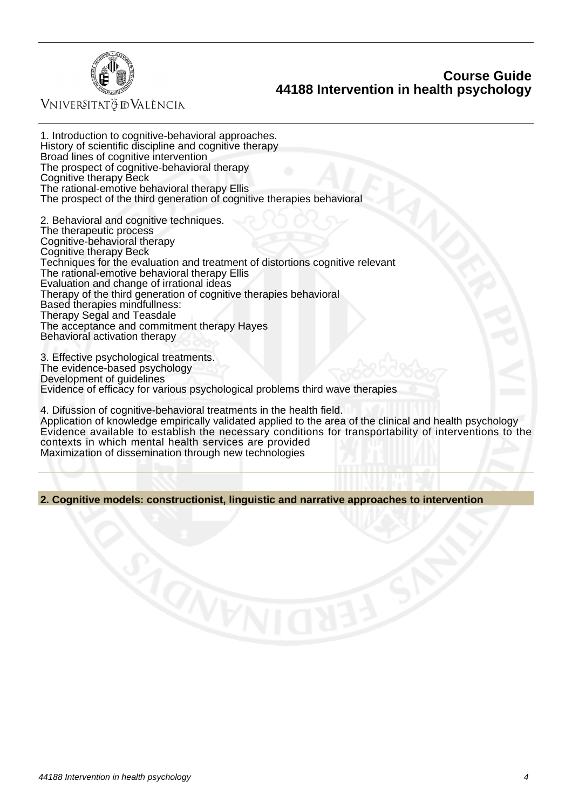

VNIVERSITATÖ ID VALÈNCIA

1. Introduction to cognitive-behavioral approaches. History of scientific discipline and cognitive therapy Broad lines of cognitive intervention The prospect of cognitive-behavioral therapy Cognitive therapy Beck The rational-emotive behavioral therapy Ellis The prospect of the third generation of cognitive therapies behavioral

2. Behavioral and cognitive techniques. The therapeutic process Cognitive-behavioral therapy Cognitive therapy Beck Techniques for the evaluation and treatment of distortions cognitive relevant The rational-emotive behavioral therapy Ellis Evaluation and change of irrational ideas Therapy of the third generation of cognitive therapies behavioral Based therapies mindfullness: Therapy Segal and Teasdale The acceptance and commitment therapy Hayes Behavioral activation therapy

3. Effective psychological treatments. The evidence-based psychology Development of guidelines Evidence of efficacy for various psychological problems third wave therapies

4. Difussion of cognitive-behavioral treatments in the health field. Application of knowledge empirically validated applied to the area of the clinical and health psychology Evidence available to establish the necessary conditions for transportability of interventions to the contexts in which mental health services are provided Maximization of dissemination through new technologies

**2. Cognitive models: constructionist, linguistic and narrative approaches to intervention**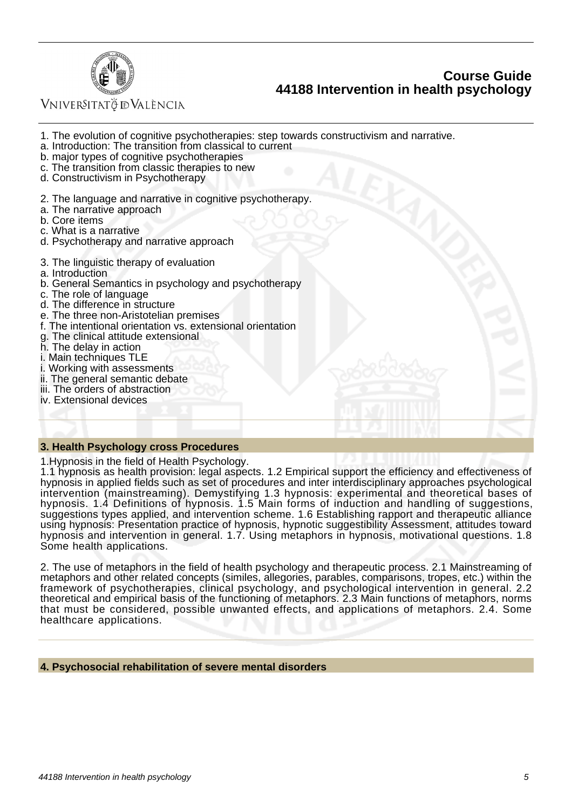

VNIVERSITATÖ ID VALÈNCIA

- 1. The evolution of cognitive psychotherapies: step towards constructivism and narrative.
- a. Introduction: The transition from classical to current
- b. major types of cognitive psychotherapies
- c. The transition from classic therapies to new
- d. Constructivism in Psychotherapy
- 2. The language and narrative in cognitive psychotherapy.
- a. The narrative approach
- b. Core items
- c. What is a narrative
- d. Psychotherapy and narrative approach
- 3. The linguistic therapy of evaluation
- a. Introduction
- b. General Semantics in psychology and psychotherapy
- c. The role of language
- d. The difference in structure
- e. The three non-Aristotelian premises
- f. The intentional orientation vs. extensional orientation
- g. The clinical attitude extensional
- h. The delay in action
- i. Main techniques TLE
- i. Working with assessments
- ii. The general semantic debate
- iii. The orders of abstraction
- iv. Extensional devices

#### **3. Health Psychology cross Procedures**

1.Hypnosis in the field of Health Psychology.

1.1 hypnosis as health provision: legal aspects. 1.2 Empirical support the efficiency and effectiveness of hypnosis in applied fields such as set of procedures and inter interdisciplinary approaches psychological intervention (mainstreaming). Demystifying 1.3 hypnosis: experimental and theoretical bases of hypnosis. 1.4 Definitions of hypnosis. 1.5 Main forms of induction and handling of suggestions, suggestions types applied, and intervention scheme. 1.6 Establishing rapport and therapeutic alliance using hypnosis: Presentation practice of hypnosis, hypnotic suggestibility Assessment, attitudes toward hypnosis and intervention in general. 1.7. Using metaphors in hypnosis, motivational questions. 1.8 Some health applications.

2. The use of metaphors in the field of health psychology and therapeutic process. 2.1 Mainstreaming of metaphors and other related concepts (similes, allegories, parables, comparisons, tropes, etc.) within the framework of psychotherapies, clinical psychology, and psychological intervention in general. 2.2 theoretical and empirical basis of the functioning of metaphors. 2.3 Main functions of metaphors, norms that must be considered, possible unwanted effects, and applications of metaphors. 2.4. Some healthcare applications.

#### **4. Psychosocial rehabilitation of severe mental disorders**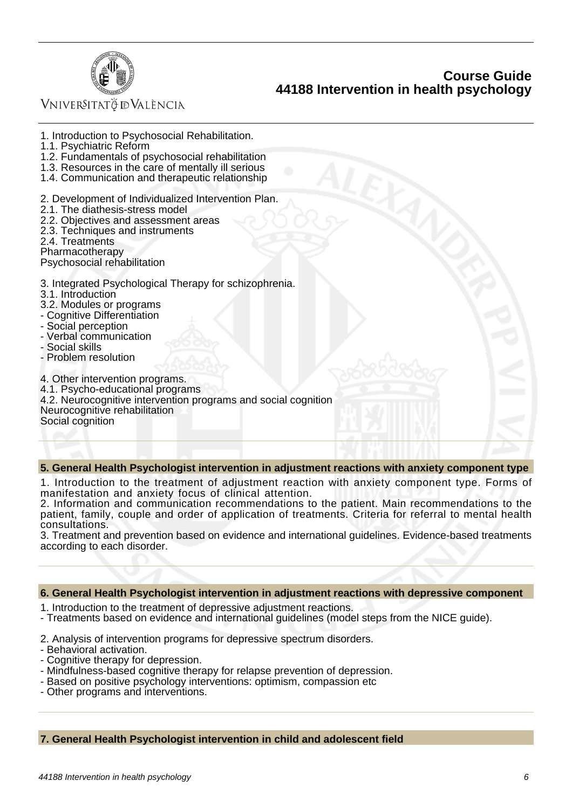

### VNIVERSITATÖ ID VALÈNCIA

1. Introduction to Psychosocial Rehabilitation. 1.1. Psychiatric Reform 1.2. Fundamentals of psychosocial rehabilitation 1.3. Resources in the care of mentally ill serious 1.4. Communication and therapeutic relationship 2. Development of Individualized Intervention Plan. 2.1. The diathesis-stress model 2.2. Objectives and assessment areas 2.3. Techniques and instruments 2.4. Treatments Pharmacotherapy Psychosocial rehabilitation 3. Integrated Psychological Therapy for schizophrenia. 3.1. Introduction 3.2. Modules or programs - Cognitive Differentiation - Social perception - Verbal communication - Social skills - Problem resolution 4. Other intervention programs. 4.1. Psycho-educational programs 4.2. Neurocognitive intervention programs and social cognition Neurocognitive rehabilitation Social cognition

#### **5. General Health Psychologist intervention in adjustment reactions with anxiety component type**

1. Introduction to the treatment of adjustment reaction with anxiety component type. Forms of manifestation and anxiety focus of clinical attention.

2. Information and communication recommendations to the patient. Main recommendations to the patient, family, couple and order of application of treatments. Criteria for referral to mental health consultations.

3. Treatment and prevention based on evidence and international guidelines. Evidence-based treatments according to each disorder.

#### **6. General Health Psychologist intervention in adjustment reactions with depressive component**

- 1. Introduction to the treatment of depressive adjustment reactions.
- Treatments based on evidence and international guidelines (model steps from the NICE guide).
- 2. Analysis of intervention programs for depressive spectrum disorders.
- Behavioral activation.
- Cognitive therapy for depression.
- Mindfulness-based cognitive therapy for relapse prevention of depression.
- Based on positive psychology interventions: optimism, compassion etc
- Other programs and interventions.

**7. General Health Psychologist intervention in child and adolescent field**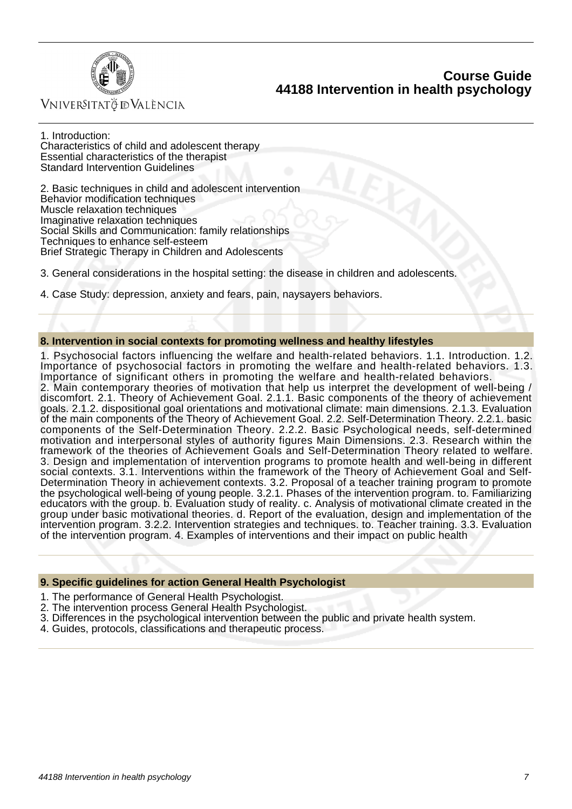

### Vniver§itatğ dValència

1. Introduction: Characteristics of child and adolescent therapy Essential characteristics of the therapist Standard Intervention Guidelines

2. Basic techniques in child and adolescent intervention Behavior modification techniques Muscle relaxation techniques Imaginative relaxation techniques Social Skills and Communication: family relationships Techniques to enhance self-esteem Brief Strategic Therapy in Children and Adolescents

3. General considerations in the hospital setting: the disease in children and adolescents.

4. Case Study: depression, anxiety and fears, pain, naysayers behaviors.

#### **8. Intervention in social contexts for promoting wellness and healthy lifestyles**

1. Psychosocial factors influencing the welfare and health-related behaviors. 1.1. Introduction. 1.2. Importance of psychosocial factors in promoting the welfare and health-related behaviors. 1.3. Importance of significant others in promoting the welfare and health-related behaviors. 2. Main contemporary theories of motivation that help us interpret the development of well-being / discomfort. 2.1. Theory of Achievement Goal. 2.1.1. Basic components of the theory of achievement goals. 2.1.2. dispositional goal orientations and motivational climate: main dimensions. 2.1.3. Evaluation of the main components of the Theory of Achievement Goal. 2.2. Self-Determination Theory. 2.2.1. basic components of the Self-Determination Theory. 2.2.2. Basic Psychological needs, self-determined motivation and interpersonal styles of authority figures Main Dimensions. 2.3. Research within the framework of the theories of Achievement Goals and Self-Determination Theory related to welfare. 3. Design and implementation of intervention programs to promote health and well-being in different social contexts. 3.1. Interventions within the framework of the Theory of Achievement Goal and Self-Determination Theory in achievement contexts. 3.2. Proposal of a teacher training program to promote the psychological well-being of young people. 3.2.1. Phases of the intervention program. to. Familiarizing educators with the group. b. Evaluation study of reality. c. Analysis of motivational climate created in the group under basic motivational theories. d. Report of the evaluation, design and implementation of the intervention program. 3.2.2. Intervention strategies and techniques. to. Teacher training. 3.3. Evaluation of the intervention program. 4. Examples of interventions and their impact on public health

#### **9. Specific guidelines for action General Health Psychologist**

- 1. The performance of General Health Psychologist.
- 2. The intervention process General Health Psychologist.
- 3. Differences in the psychological intervention between the public and private health system.
- 4. Guides, protocols, classifications and therapeutic process.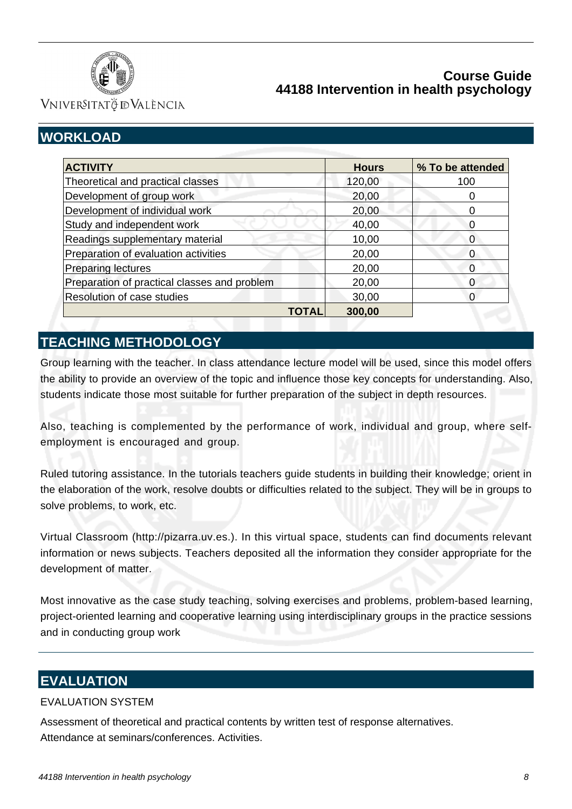

VNIVERSITATÖ ID VALÈNCIA

# **WORKLOAD**

| <b>ACTIVITY</b>                              | <b>Hours</b> | % To be attended |
|----------------------------------------------|--------------|------------------|
| Theoretical and practical classes            | 120,00       | 100              |
| Development of group work                    | 20,00        |                  |
| Development of individual work               | 20,00        |                  |
| Study and independent work                   | 40,00        | 0                |
| Readings supplementary material              | 10,00        | 0                |
| Preparation of evaluation activities         | 20,00        | 0                |
| <b>Preparing lectures</b>                    | 20,00        | O                |
| Preparation of practical classes and problem | 20,00        | 0                |
| Resolution of case studies                   | 30,00        | O                |
| TOTAL                                        | 300,00       |                  |

# **TEACHING METHODOLOGY**

Group learning with the teacher. In class attendance lecture model will be used, since this model offers the ability to provide an overview of the topic and influence those key concepts for understanding. Also, students indicate those most suitable for further preparation of the subject in depth resources.

Also, teaching is complemented by the performance of work, individual and group, where selfemployment is encouraged and group.

Ruled tutoring assistance. In the tutorials teachers guide students in building their knowledge; orient in the elaboration of the work, resolve doubts or difficulties related to the subject. They will be in groups to solve problems, to work, etc.

Virtual Classroom (http://pizarra.uv.es.). In this virtual space, students can find documents relevant information or news subjects. Teachers deposited all the information they consider appropriate for the development of matter.

Most innovative as the case study teaching, solving exercises and problems, problem-based learning, project-oriented learning and cooperative learning using interdisciplinary groups in the practice sessions and in conducting group work

# **EVALUATION**

### EVALUATION SYSTEM

Assessment of theoretical and practical contents by written test of response alternatives. Attendance at seminars/conferences. Activities.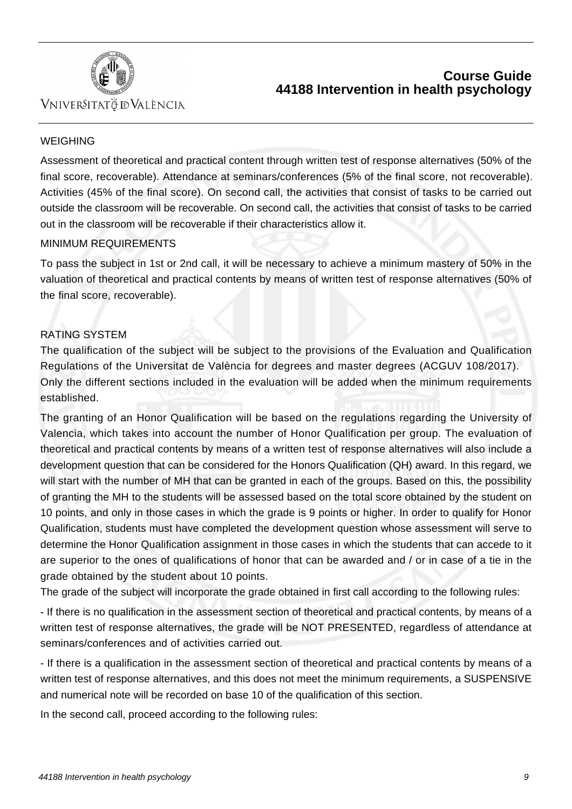

## VNIVERSITATÖ ID VALÈNCIA

### WEIGHING

Assessment of theoretical and practical content through written test of response alternatives (50% of the final score, recoverable). Attendance at seminars/conferences (5% of the final score, not recoverable). Activities (45% of the final score). On second call, the activities that consist of tasks to be carried out outside the classroom will be recoverable. On second call, the activities that consist of tasks to be carried out in the classroom will be recoverable if their characteristics allow it.

### MINIMUM REQUIREMENTS

To pass the subject in 1st or 2nd call, it will be necessary to achieve a minimum mastery of 50% in the valuation of theoretical and practical contents by means of written test of response alternatives (50% of the final score, recoverable).

### RATING SYSTEM

The qualification of the subject will be subject to the provisions of the Evaluation and Qualification Regulations of the Universitat de València for degrees and master degrees (ACGUV 108/2017). Only the different sections included in the evaluation will be added when the minimum requirements established.

The granting of an Honor Qualification will be based on the regulations regarding the University of Valencia, which takes into account the number of Honor Qualification per group. The evaluation of theoretical and practical contents by means of a written test of response alternatives will also include a development question that can be considered for the Honors Qualification (QH) award. In this regard, we will start with the number of MH that can be granted in each of the groups. Based on this, the possibility of granting the MH to the students will be assessed based on the total score obtained by the student on 10 points, and only in those cases in which the grade is 9 points or higher. In order to qualify for Honor Qualification, students must have completed the development question whose assessment will serve to determine the Honor Qualification assignment in those cases in which the students that can accede to it are superior to the ones of qualifications of honor that can be awarded and / or in case of a tie in the grade obtained by the student about 10 points.

The grade of the subject will incorporate the grade obtained in first call according to the following rules:

- If there is no qualification in the assessment section of theoretical and practical contents, by means of a written test of response alternatives, the grade will be NOT PRESENTED, regardless of attendance at seminars/conferences and of activities carried out.

- If there is a qualification in the assessment section of theoretical and practical contents by means of a written test of response alternatives, and this does not meet the minimum requirements, a SUSPENSIVE and numerical note will be recorded on base 10 of the qualification of this section.

In the second call, proceed according to the following rules: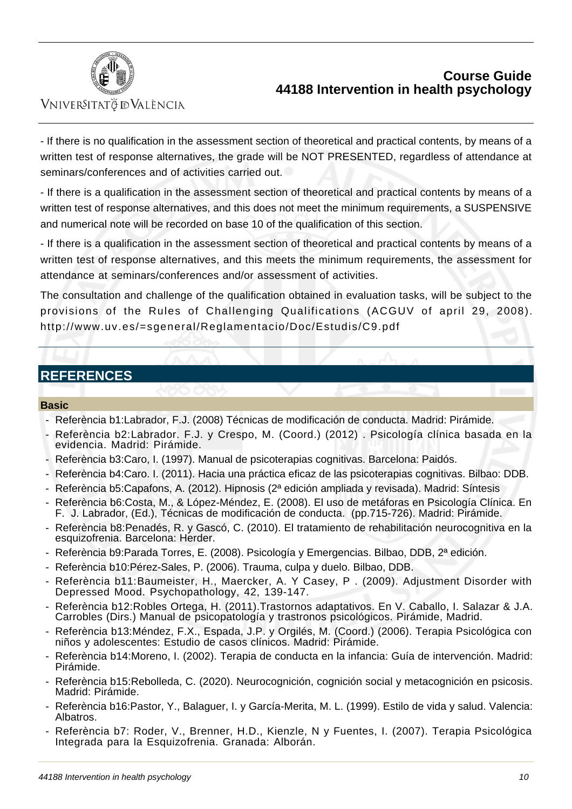

### Vniver§itatğ dValència

- If there is no qualification in the assessment section of theoretical and practical contents, by means of a written test of response alternatives, the grade will be NOT PRESENTED, regardless of attendance at seminars/conferences and of activities carried out.

- If there is a qualification in the assessment section of theoretical and practical contents by means of a written test of response alternatives, and this does not meet the minimum requirements, a SUSPENSIVE and numerical note will be recorded on base 10 of the qualification of this section.

- If there is a qualification in the assessment section of theoretical and practical contents by means of a written test of response alternatives, and this meets the minimum requirements, the assessment for attendance at seminars/conferences and/or assessment of activities.

The consultation and challenge of the qualification obtained in evaluation tasks, will be subject to the provisions of the Rules of Challenging Qualifications (ACGUV of april 29, 2008). [http://www.uv.es/=sgeneral/Reglamentacio/Doc/Estudis/C9.pdf](http:/www.uv.es/=sgeneral/Reglamentacio/Doc/Estudis/C9.pdf)

### **REFERENCES**

### **Basic**

- Referència b1: Labrador, F.J. (2008) Técnicas de modificación de conducta. Madrid: Pirámide.
- Referència b2: Labrador. F.J. y Crespo, M. (Coord.) (2012) . Psicología clínica basada en la evidencia. Madrid: Pirámide.
- Referència b3: Caro, I. (1997). Manual de psicoterapias cognitivas. Barcelona: Paidós.
- Referència b4: Caro. I. (2011). Hacia una práctica eficaz de las psicoterapias cognitivas. Bilbao: DDB.
- Referència b5: Capafons, A. (2012). Hipnosis (2ª edición ampliada y revisada). Madrid: Síntesis
- Referència b6: Costa, M., & López-Méndez, E. (2008). El uso de metáforas en Psicología Clínica. En F. J. Labrador, (Ed.), Técnicas de modificación de conducta. (pp.715-726). Madrid: Pirámide.
- Referència b8: Penadés, R. y Gascó, C. (2010). El tratamiento de rehabilitación neurocognitiva en la esquizofrenia. Barcelona: Herder.
- Referència b9: Parada Torres, E. (2008). Psicología y Emergencias. Bilbao, DDB, 2ª edición.
- Referència b10: Pérez-Sales, P. (2006). Trauma, culpa y duelo. Bilbao, DDB.
- Referència b11: Baumeister, H., Maercker, A. Y Casey, P. (2009). Adjustment Disorder with Depressed Mood. Psychopathology, 42, 139-147.
- Referència b12: Robles Ortega, H. (2011). Trastornos adaptativos. En V. Caballo, I. Salazar & J.A. Carrobles (Dirs.) Manual de psicopatología y trastronos psicológicos. Pirámide, Madrid.
- Referència b13: Méndez, F.X., Espada, J.P. y Orgilés, M. (Coord.) (2006). Terapia Psicológica con niños y adolescentes: Estudio de casos clínicos. Madrid: Pirámide.
- Referència b14: Moreno, I. (2002). Terapia de conducta en la infancia: Guía de intervención. Madrid: Pirámide.
- Referència b15: Rebolleda, C. (2020). Neurocognición, cognición social y metacognición en psicosis. Madrid: Pirámide.
- Referència b16: Pastor, Y., Balaguer, I. y García-Merita, M. L. (1999). Estilo de vida y salud. Valencia: Albatros.
- Referència b7: Roder, V., Brenner, H.D., Kienzle, N y Fuentes, I. (2007). Terapia Psicológica Integrada para la Esquizofrenia. Granada: Alborán.